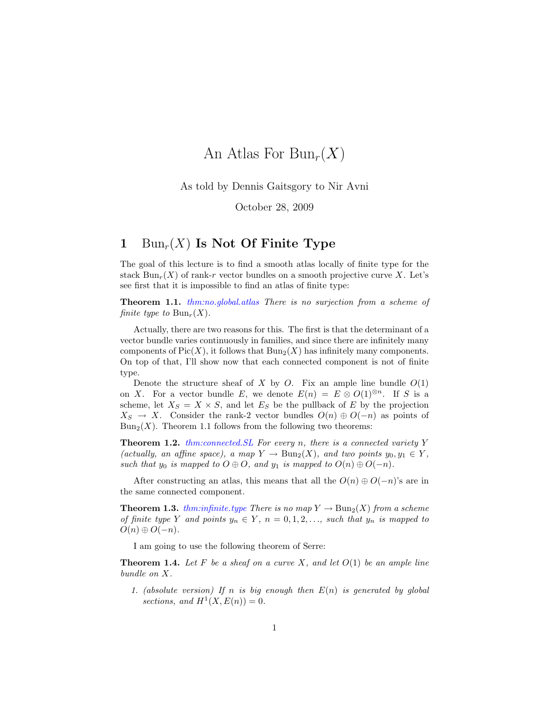# An Atlas For  $Bun_r(X)$

As told by Dennis Gaitsgory to Nir Avni

October 28, 2009

### 1  $\text{Bun}_r(X)$  Is Not Of Finite Type

The goal of this lecture is to find a smooth atlas locally of finite type for the stack  $\text{Bun}_r(X)$  of rank-r vector bundles on a smooth projective curve X. Let's see first that it is impossible to find an atlas of finite type:

Theorem 1.1. thm:no.global.atlas There is no surjection from a scheme of finite type to  $Bun_r(X)$ .

Actually, there are two reasons for this. The first is that the determinant of a vector bundle varies continuously in families, and since there are infinitely many components of  $Pic(X)$ , it follows that  $Bun_2(X)$  has infinitely many components. On top of that, I'll show now that each connected component is not of finite type.

Denote the structure sheaf of X by O. Fix an ample line bundle  $O(1)$ on X. For a vector bundle E, we denote  $E(n) = E \otimes O(1)^{\otimes n}$ . If S is a scheme, let  $X_S = X \times S$ , and let  $E_S$  be the pullback of E by the projection  $X_S \to X$ . Consider the rank-2 vector bundles  $O(n) \oplus O(-n)$  as points of  $Bun_2(X)$ . Theorem 1.1 follows from the following two theorems:

**Theorem 1.2.** thm:connected. SL For every n, there is a connected variety Y (actually, an affine space), a map  $Y \to \text{Bun}_2(X)$ , and two points  $y_0, y_1 \in Y$ , such that  $y_0$  is mapped to  $O \oplus O$ , and  $y_1$  is mapped to  $O(n) \oplus O(-n)$ .

After constructing an atlas, this means that all the  $O(n) \oplus O(-n)$ 's are in the same connected component.

**Theorem 1.3.** thm:infinite.type There is no map  $Y \to \text{Bun}_2(X)$  from a scheme of finite type Y and points  $y_n \in Y$ ,  $n = 0, 1, 2, \ldots$ , such that  $y_n$  is mapped to  $O(n) \oplus O(-n)$ .

I am going to use the following theorem of Serre:

**Theorem 1.4.** Let F be a sheaf on a curve X, and let  $O(1)$  be an ample line bundle on X.

1. (absolute version) If n is big enough then  $E(n)$  is generated by global sections, and  $H^1(X, E(n)) = 0$ .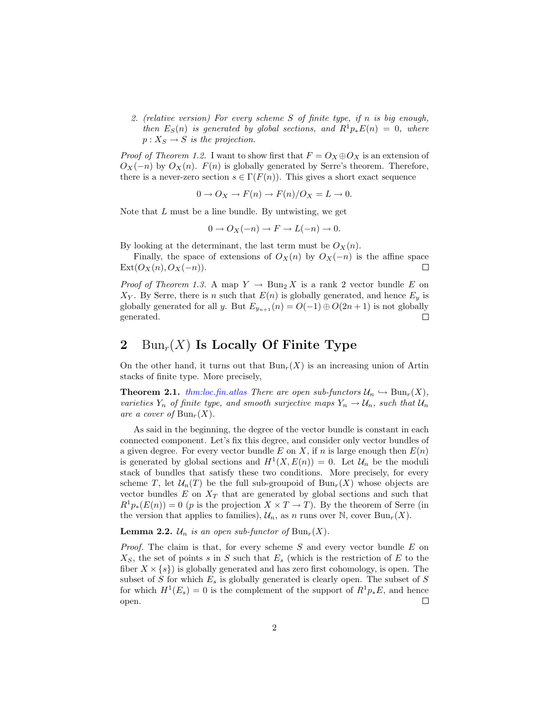2. (relative version) For every scheme S of finite type, if n is big enough, then  $E_S(n)$  is generated by global sections, and  $R^1p_*E(n) = 0$ , where  $p: X_S \to S$  is the projection.

*Proof of Theorem 1.2.* I want to show first that  $F = O_X \oplus O_X$  is an extension of  $O_X(-n)$  by  $O_X(n)$ .  $F(n)$  is globally generated by Serre's theorem. Therefore, there is a never-zero section  $s \in \Gamma(F(n))$ . This gives a short exact sequence

$$
0 \to O_X \to F(n) \to F(n)/O_X = L \to 0.
$$

Note that  $L$  must be a line bundle. By untwisting, we get

$$
0 \to O_X(-n) \to F \to L(-n) \to 0.
$$

By looking at the determinant, the last term must be  $O_X(n)$ .

Finally, the space of extensions of  $O_X(n)$  by  $O_X(-n)$  is the affine space  $Ext(O_X(n), O_X(-n)).$  $\Box$ 

*Proof of Theorem 1.3.* A map  $Y \to \text{Bun}_2 X$  is a rank 2 vector bundle E on  $X_Y$ . By Serre, there is n such that  $E(n)$  is globally generated, and hence  $E_y$  is globally generated for all y. But  $E_{y_{n+1}}(n) = O(-1) \oplus O(2n+1)$  is not globally generated.  $\Box$ 

## 2 Bun<sub>r</sub> $(X)$  Is Locally Of Finite Type

On the other hand, it turns out that  $Bun_r(X)$  is an increasing union of Artin stacks of finite type. More precisely,

**Theorem 2.1.** thm:loc.fin.atlas There are open sub-functors  $\mathcal{U}_n \hookrightarrow \text{Bun}_r(X)$ , varieties  $Y_n$  of finite type, and smooth surjective maps  $Y_n \to \mathcal{U}_n$ , such that  $\mathcal{U}_n$ are a cover of  $Bun_r(X)$ .

As said in the beginning, the degree of the vector bundle is constant in each connected component. Let's fix this degree, and consider only vector bundles of a given degree. For every vector bundle E on X, if n is large enough then  $E(n)$ is generated by global sections and  $H^1(X, E(n)) = 0$ . Let  $\mathcal{U}_n$  be the moduli stack of bundles that satisfy these two conditions. More precisely, for every scheme T, let  $\mathcal{U}_n(T)$  be the full sub-groupoid of  $Bun_r(X)$  whose objects are vector bundles  $E$  on  $X_T$  that are generated by global sections and such that  $R^1p_*(E(n)) = 0$  (p is the projection  $X \times T \to T$ ). By the theorem of Serre (in the version that applies to families),  $\mathcal{U}_n$ , as n runs over N, cover Bun<sub>r</sub>(X).

**Lemma 2.2.**  $\mathcal{U}_n$  is an open sub-functor of  $\text{Bun}_r(X)$ .

*Proof.* The claim is that, for every scheme  $S$  and every vector bundle  $E$  on  $X<sub>S</sub>$ , the set of points s in S such that  $E<sub>s</sub>$  (which is the restriction of E to the fiber  $X \times \{s\}$  is globally generated and has zero first cohomology, is open. The subset of S for which  $E_s$  is globally generated is clearly open. The subset of S for which  $H^1(E_s) = 0$  is the complement of the support of  $R^1 p_* E$ , and hence open.  $\Box$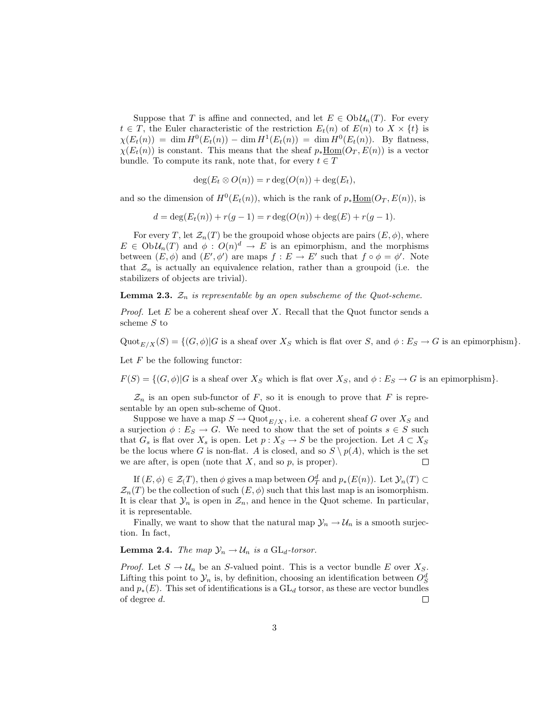Suppose that T is affine and connected, and let  $E \in Ob \mathcal{U}_n(T)$ . For every  $t \in T$ , the Euler characteristic of the restriction  $E_t(n)$  of  $E(n)$  to  $X \times \{t\}$  is  $\chi(E_t(n)) = \dim H^0(E_t(n)) - \dim H^1(E_t(n)) = \dim H^0(E_t(n)).$  By flatness,  $\chi(E_t(n))$  is constant. This means that the sheaf  $p_*\text{Hom}(O_T, E(n))$  is a vector bundle. To compute its rank, note that, for every  $t \in T$ 

$$
\deg(E_t \otimes O(n)) = r \deg(O(n)) + \deg(E_t),
$$

and so the dimension of  $H^0(E_t(n))$ , which is the rank of  $p_*\underline{\text{Hom}}(O_T, E(n))$ , is

 $d = \deg(E_t(n)) + r(g-1) = r \deg(O(n)) + \deg(E) + r(g-1).$ 

For every T, let  $\mathcal{Z}_n(T)$  be the groupoid whose objects are pairs  $(E, \phi)$ , where  $E \in Ob \mathcal{U}_n(T)$  and  $\phi: O(n)^d \to E$  is an epimorphism, and the morphisms between  $(E, \phi)$  and  $(E', \phi')$  are maps  $f : E \to E'$  such that  $f \circ \phi = \phi'$ . Note that  $\mathcal{Z}_n$  is actually an equivalence relation, rather than a groupoid (i.e. the stabilizers of objects are trivial).

**Lemma 2.3.**  $\mathcal{Z}_n$  is representable by an open subscheme of the Quot-scheme.

*Proof.* Let  $E$  be a coherent sheaf over  $X$ . Recall that the Quot functor sends a scheme S to

 $\mathrm{Quot}_{E/X}(S) = \{ (G, \phi) | G \text{ is a sheaf over } X_S \text{ which is flat over } S \text{, and } \phi : E_S \to G \text{ is an epimorphism} \}.$ 

Let  $F$  be the following functor:

 $F(S) = \{(G, \phi) | G$  is a sheaf over  $X_S$  which is flat over  $X_S$ , and  $\phi : E_S \to G$  is an epimorphism}.

 $\mathcal{Z}_n$  is an open sub-functor of F, so it is enough to prove that F is representable by an open sub-scheme of Quot.

Suppose we have a map  $S \to \mathrm{Quot}_{E/X}$ , i.e. a coherent sheaf G over  $X_S$  and a surjection  $\phi : E_S \to G$ . We need to show that the set of points  $s \in S$  such that  $G_s$  is flat over  $X_s$  is open. Let  $p : X_S \to S$  be the projection. Let  $A \subset X_S$ be the locus where G is non-flat. A is closed, and so  $S \setminus p(A)$ , which is the set we are after, is open (note that  $X$ , and so  $p$ , is proper).  $\Box$ 

If  $(E, \phi) \in \mathcal{Z}(T)$ , then  $\phi$  gives a map between  $O_T^d$  and  $p_*(E(n))$ . Let  $\mathcal{Y}_n(T) \subset$  $\mathcal{Z}_n(T)$  be the collection of such  $(E, \phi)$  such that this last map is an isomorphism. It is clear that  $\mathcal{Y}_n$  is open in  $\mathcal{Z}_n$ , and hence in the Quot scheme. In particular, it is representable.

Finally, we want to show that the natural map  $\mathcal{Y}_n \to \mathcal{U}_n$  is a smooth surjection. In fact,

#### **Lemma 2.4.** The map  $\mathcal{Y}_n \to \mathcal{U}_n$  is a  $GL_d\text{-}torsor$ .

*Proof.* Let  $S \to \mathcal{U}_n$  be an S-valued point. This is a vector bundle E over  $X_S$ . Lifting this point to  $\mathcal{Y}_n$  is, by definition, choosing an identification between  $O_S^d$ and  $p_*(E)$ . This set of identifications is a  $GL_d$  torsor, as these are vector bundles of degree d.  $\Box$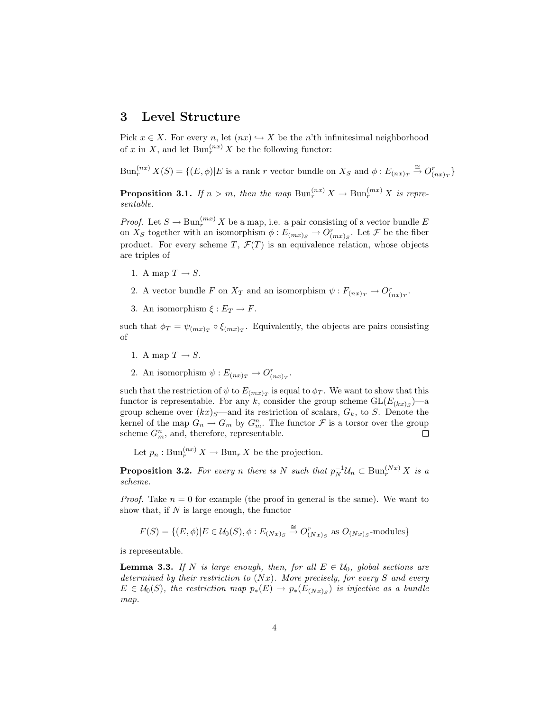#### 3 Level Structure

Pick  $x \in X$ . For every n, let  $(nx) \hookrightarrow X$  be the n'th infinitesimal neighborhood of x in X, and let  $\text{Bun}_r^{(nx)} X$  be the following functor:

 $\text{Bun}_r^{(nx)} X(S) = \{(E, \phi) | E \text{ is a rank } r \text{ vector bundle on } X_S \text{ and } \phi : E_{(nx)_T} \stackrel{\cong}{\to} O_{(nx)_T}^r\}$ 

**Proposition 3.1.** If  $n > m$ , then the map  $\text{Bun}_r^{(nx)} X \to \text{Bun}_r^{(mx)} X$  is representable.

*Proof.* Let  $S \to \text{Bun}_r^{(mx)} X$  be a map, i.e. a pair consisting of a vector bundle E on  $X_S$  together with an isomorphism  $\phi: E_{(mx)_S} \to O_{(mx)_S}^r$ . Let  $\mathcal F$  be the fiber product. For every scheme  $T, \mathcal{F}(T)$  is an equivalence relation, whose objects are triples of

- 1. A map  $T \to S$ .
- 2. A vector bundle F on  $X_T$  and an isomorphism  $\psi: F_{(nx)_T} \to O_{(nx)_T}^r$ .
- 3. An isomorphism  $\xi: E_T \to F$ .

such that  $\phi_T = \psi_{(mx)_T} \circ \xi_{(mx)_T}$ . Equivalently, the objects are pairs consisting of

- 1. A map  $T \to S$ .
- 2. An isomorphism  $\psi: E_{(nx)_T} \to O_{(nx)_T}^r$ .

such that the restriction of  $\psi$  to  $E_{(mx)_T}$  is equal to  $\phi_T$ . We want to show that this functor is representable. For any k, consider the group scheme  $GL(E_{(kx)S})$ —a group scheme over  $(kx)_{S}$ —and its restriction of scalars,  $G_k$ , to S. Denote the kernel of the map  $G_n \to G_m$  by  $G_m^n$ . The functor  $\mathcal F$  is a torsor over the group scheme  $G_m^n$ , and, therefore, representable.  $\Box$ 

Let  $p_n: \text{Bun}_r^{(nx)} X \to \text{Bun}_r X$  be the projection.

**Proposition 3.2.** For every n there is N such that  $p_N^{-1}\mathcal{U}_n \subset \text{Bun}_r^{(Nx)}X$  is a scheme.

*Proof.* Take  $n = 0$  for example (the proof in general is the same). We want to show that, if  $N$  is large enough, the functor

$$
F(S) = \{(E, \phi) | E \in \mathcal{U}_0(S), \phi : E_{(Nx)_S} \stackrel{\cong}{\to} O^r_{(Nx)_S} \text{ as } O_{(Nx)_S}\text{-modules}\}
$$

is representable.

**Lemma 3.3.** If N is large enough, then, for all  $E \in \mathcal{U}_0$ , global sections are determined by their restriction to  $(Nx)$ . More precisely, for every S and every  $E \in \mathcal{U}_0(S)$ , the restriction map  $p_*(E) \to p_*(E_{(Nx)s})$  is injective as a bundle map.